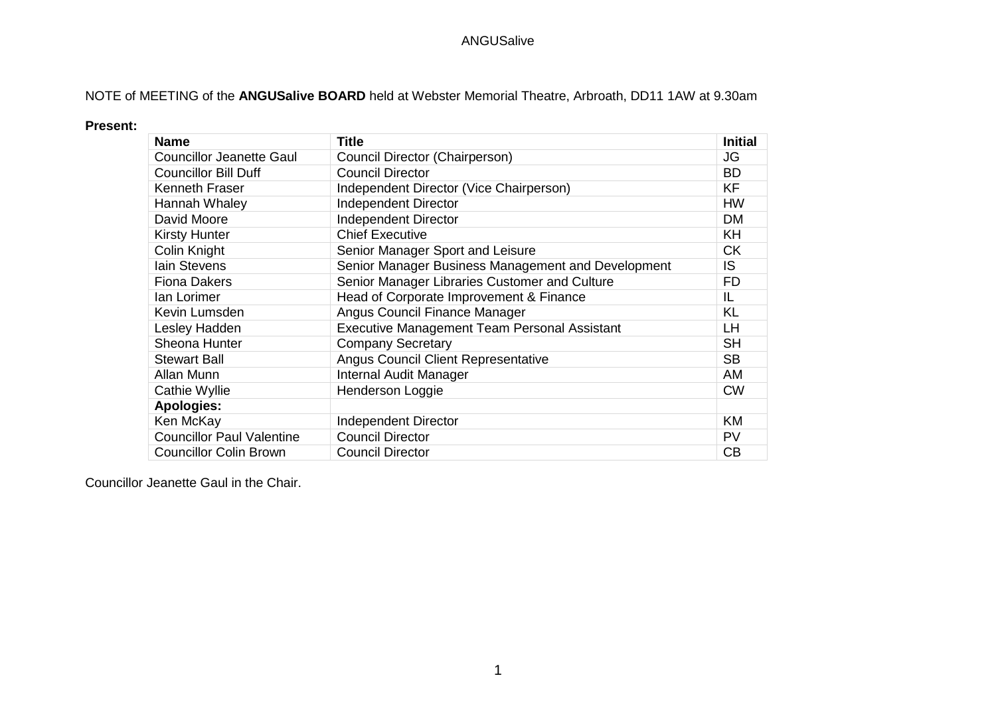## NOTE of MEETING of the **ANGUSalive BOARD** held at Webster Memorial Theatre, Arbroath, DD11 1AW at 9.30am

#### **Present:**

| <b>Name</b>                      | <b>Title</b>                                        | <b>Initial</b> |
|----------------------------------|-----------------------------------------------------|----------------|
| <b>Councillor Jeanette Gaul</b>  | Council Director (Chairperson)                      | JG             |
| <b>Councillor Bill Duff</b>      | <b>Council Director</b>                             | <b>BD</b>      |
| Kenneth Fraser                   | Independent Director (Vice Chairperson)             | <b>KF</b>      |
| Hannah Whaley                    | <b>Independent Director</b>                         | HW             |
| David Moore                      | Independent Director                                | <b>DM</b>      |
| <b>Kirsty Hunter</b>             | <b>Chief Executive</b>                              | KH             |
| Colin Knight                     | Senior Manager Sport and Leisure                    | <b>CK</b>      |
| lain Stevens                     | Senior Manager Business Management and Development  | IS.            |
| <b>Fiona Dakers</b>              | Senior Manager Libraries Customer and Culture       | FD.            |
| lan Lorimer                      | Head of Corporate Improvement & Finance             | IL             |
| Kevin Lumsden                    | Angus Council Finance Manager                       | KL             |
| Lesley Hadden                    | <b>Executive Management Team Personal Assistant</b> | <b>LH</b>      |
| Sheona Hunter                    | <b>Company Secretary</b>                            | <b>SH</b>      |
| <b>Stewart Ball</b>              | Angus Council Client Representative                 | <b>SB</b>      |
| Allan Munn                       | Internal Audit Manager                              | AM             |
| Cathie Wyllie                    | Henderson Loggie                                    | <b>CW</b>      |
| <b>Apologies:</b>                |                                                     |                |
| Ken McKay                        | <b>Independent Director</b>                         | KM             |
| <b>Councillor Paul Valentine</b> | <b>Council Director</b>                             | PV             |
| <b>Councillor Colin Brown</b>    | <b>Council Director</b>                             | CB             |

Councillor Jeanette Gaul in the Chair.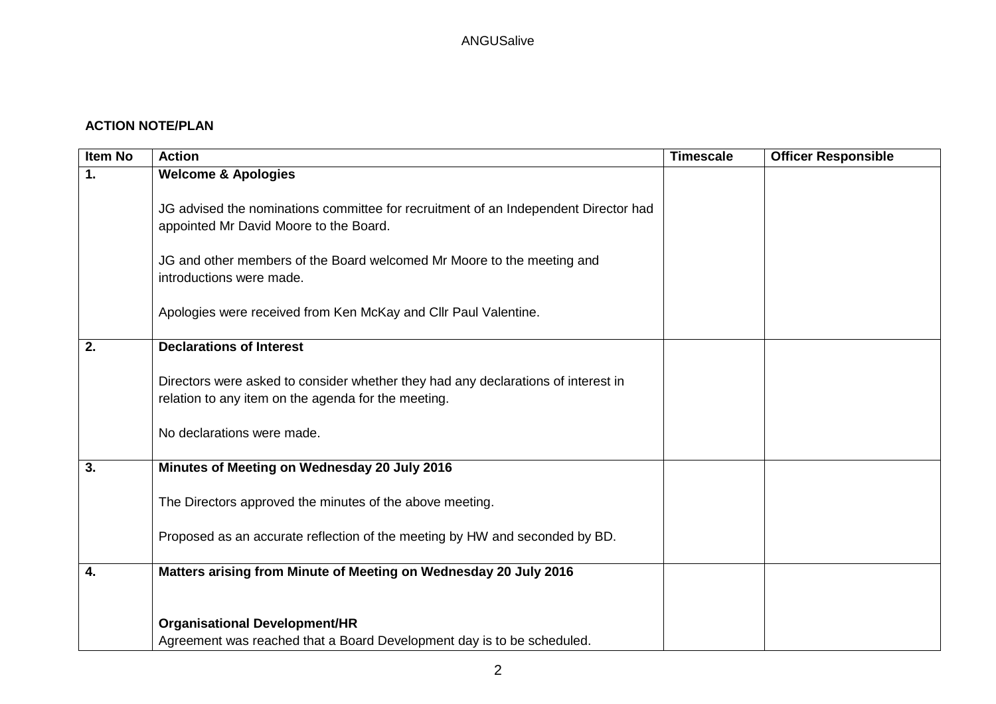## **ACTION NOTE/PLAN**

| <b>Item No</b> | <b>Action</b>                                                                                                                                                          | <b>Timescale</b> | <b>Officer Responsible</b> |
|----------------|------------------------------------------------------------------------------------------------------------------------------------------------------------------------|------------------|----------------------------|
| 1.             | <b>Welcome &amp; Apologies</b>                                                                                                                                         |                  |                            |
|                | JG advised the nominations committee for recruitment of an Independent Director had<br>appointed Mr David Moore to the Board.                                          |                  |                            |
|                | JG and other members of the Board welcomed Mr Moore to the meeting and<br>introductions were made.                                                                     |                  |                            |
|                | Apologies were received from Ken McKay and Cllr Paul Valentine.                                                                                                        |                  |                            |
| 2.             | <b>Declarations of Interest</b>                                                                                                                                        |                  |                            |
|                | Directors were asked to consider whether they had any declarations of interest in<br>relation to any item on the agenda for the meeting.<br>No declarations were made. |                  |                            |
| 3.             | Minutes of Meeting on Wednesday 20 July 2016                                                                                                                           |                  |                            |
|                | The Directors approved the minutes of the above meeting.                                                                                                               |                  |                            |
|                | Proposed as an accurate reflection of the meeting by HW and seconded by BD.                                                                                            |                  |                            |
| 4.             | Matters arising from Minute of Meeting on Wednesday 20 July 2016                                                                                                       |                  |                            |
|                | <b>Organisational Development/HR</b><br>Agreement was reached that a Board Development day is to be scheduled.                                                         |                  |                            |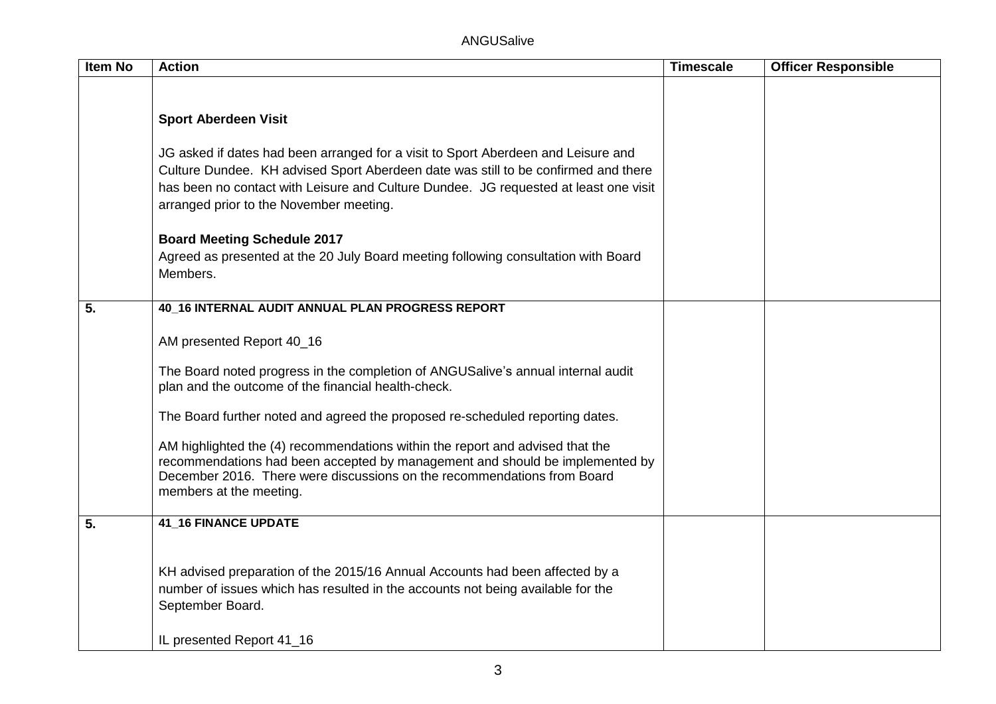ANGUSalive

| Item No | <b>Action</b>                                                                                                                                                                                                                                                                                              | <b>Timescale</b> | <b>Officer Responsible</b> |
|---------|------------------------------------------------------------------------------------------------------------------------------------------------------------------------------------------------------------------------------------------------------------------------------------------------------------|------------------|----------------------------|
|         |                                                                                                                                                                                                                                                                                                            |                  |                            |
|         | <b>Sport Aberdeen Visit</b>                                                                                                                                                                                                                                                                                |                  |                            |
|         | JG asked if dates had been arranged for a visit to Sport Aberdeen and Leisure and<br>Culture Dundee. KH advised Sport Aberdeen date was still to be confirmed and there<br>has been no contact with Leisure and Culture Dundee. JG requested at least one visit<br>arranged prior to the November meeting. |                  |                            |
|         | <b>Board Meeting Schedule 2017</b><br>Agreed as presented at the 20 July Board meeting following consultation with Board<br>Members.                                                                                                                                                                       |                  |                            |
| 5.      | 40_16 INTERNAL AUDIT ANNUAL PLAN PROGRESS REPORT                                                                                                                                                                                                                                                           |                  |                            |
|         | AM presented Report 40_16                                                                                                                                                                                                                                                                                  |                  |                            |
|         | The Board noted progress in the completion of ANGUSalive's annual internal audit<br>plan and the outcome of the financial health-check.                                                                                                                                                                    |                  |                            |
|         | The Board further noted and agreed the proposed re-scheduled reporting dates.                                                                                                                                                                                                                              |                  |                            |
|         | AM highlighted the (4) recommendations within the report and advised that the<br>recommendations had been accepted by management and should be implemented by<br>December 2016. There were discussions on the recommendations from Board<br>members at the meeting.                                        |                  |                            |
| 5.      | <b>41_16 FINANCE UPDATE</b>                                                                                                                                                                                                                                                                                |                  |                            |
|         | KH advised preparation of the 2015/16 Annual Accounts had been affected by a<br>number of issues which has resulted in the accounts not being available for the<br>September Board.<br>IL presented Report 41_16                                                                                           |                  |                            |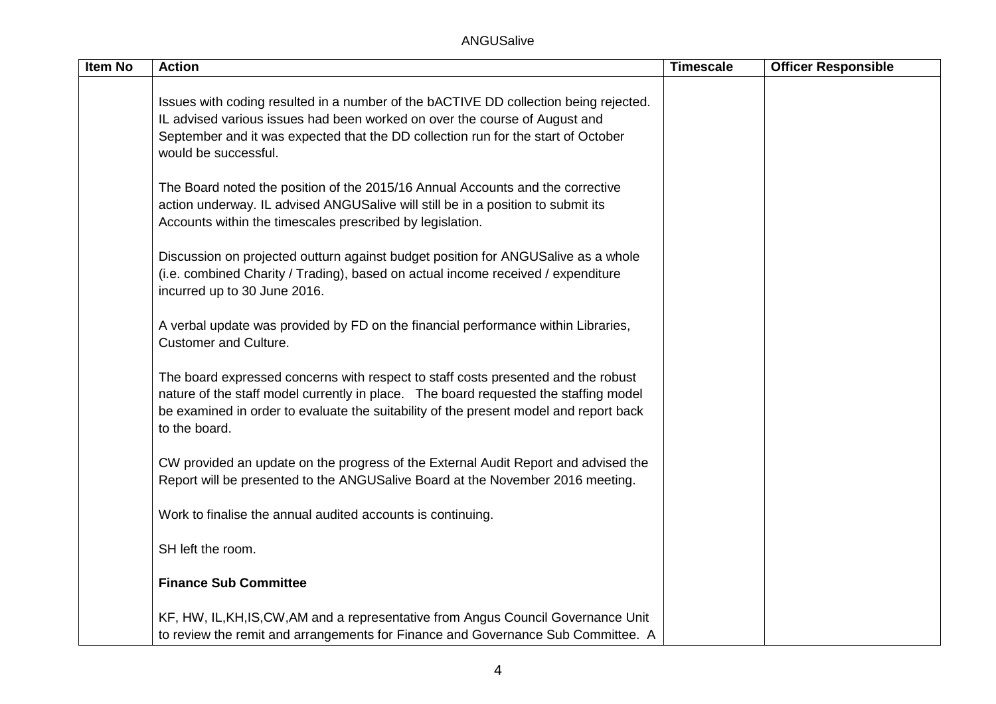| <b>Item No</b> | <b>Action</b>                                                                                                                                                                                                                                                                       | <b>Timescale</b> | <b>Officer Responsible</b> |
|----------------|-------------------------------------------------------------------------------------------------------------------------------------------------------------------------------------------------------------------------------------------------------------------------------------|------------------|----------------------------|
|                | Issues with coding resulted in a number of the bACTIVE DD collection being rejected.<br>IL advised various issues had been worked on over the course of August and<br>September and it was expected that the DD collection run for the start of October<br>would be successful.     |                  |                            |
|                | The Board noted the position of the 2015/16 Annual Accounts and the corrective<br>action underway. IL advised ANGUSalive will still be in a position to submit its<br>Accounts within the timescales prescribed by legislation.                                                     |                  |                            |
|                | Discussion on projected outturn against budget position for ANGUSalive as a whole<br>(i.e. combined Charity / Trading), based on actual income received / expenditure<br>incurred up to 30 June 2016.                                                                               |                  |                            |
|                | A verbal update was provided by FD on the financial performance within Libraries,<br><b>Customer and Culture.</b>                                                                                                                                                                   |                  |                            |
|                | The board expressed concerns with respect to staff costs presented and the robust<br>nature of the staff model currently in place. The board requested the staffing model<br>be examined in order to evaluate the suitability of the present model and report back<br>to the board. |                  |                            |
|                | CW provided an update on the progress of the External Audit Report and advised the<br>Report will be presented to the ANGUSalive Board at the November 2016 meeting.                                                                                                                |                  |                            |
|                | Work to finalise the annual audited accounts is continuing.                                                                                                                                                                                                                         |                  |                            |
|                | SH left the room.                                                                                                                                                                                                                                                                   |                  |                            |
|                | <b>Finance Sub Committee</b>                                                                                                                                                                                                                                                        |                  |                            |
|                | KF, HW, IL, KH, IS, CW, AM and a representative from Angus Council Governance Unit<br>to review the remit and arrangements for Finance and Governance Sub Committee. A                                                                                                              |                  |                            |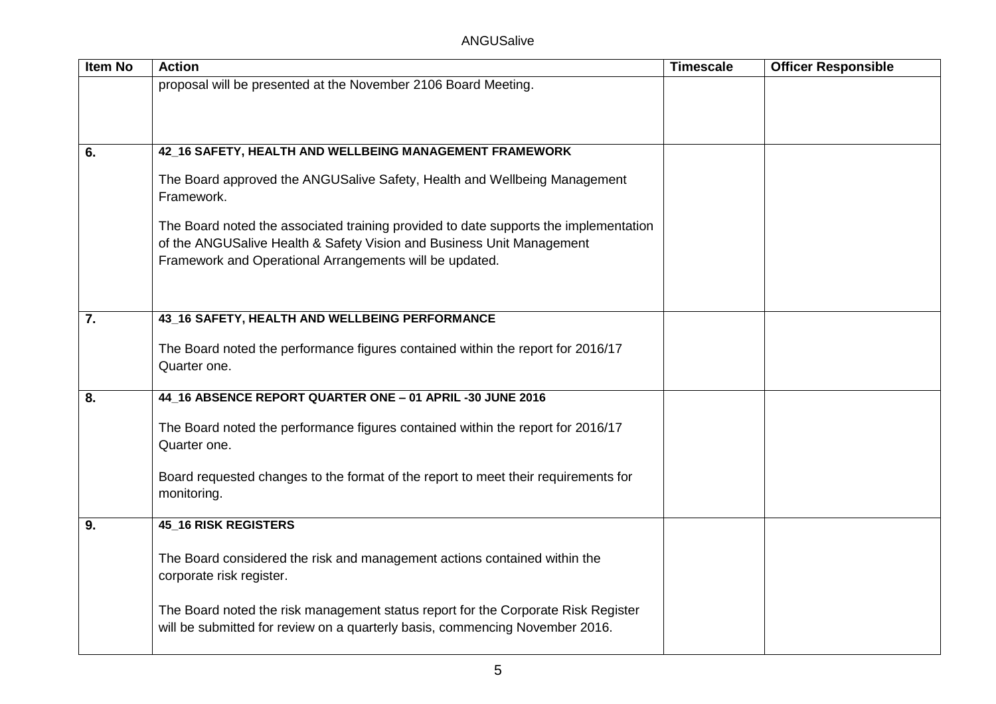| <b>Item No</b>   | <b>Action</b>                                                                           | <b>Timescale</b> | <b>Officer Responsible</b> |
|------------------|-----------------------------------------------------------------------------------------|------------------|----------------------------|
|                  | proposal will be presented at the November 2106 Board Meeting.                          |                  |                            |
|                  |                                                                                         |                  |                            |
|                  |                                                                                         |                  |                            |
|                  |                                                                                         |                  |                            |
| 6.               | 42_16 SAFETY, HEALTH AND WELLBEING MANAGEMENT FRAMEWORK                                 |                  |                            |
|                  | The Board approved the ANGUSalive Safety, Health and Wellbeing Management<br>Framework. |                  |                            |
|                  | The Board noted the associated training provided to date supports the implementation    |                  |                            |
|                  | of the ANGUSalive Health & Safety Vision and Business Unit Management                   |                  |                            |
|                  | Framework and Operational Arrangements will be updated.                                 |                  |                            |
|                  |                                                                                         |                  |                            |
|                  |                                                                                         |                  |                            |
| $\overline{7}$ . | 43_16 SAFETY, HEALTH AND WELLBEING PERFORMANCE                                          |                  |                            |
|                  |                                                                                         |                  |                            |
|                  | The Board noted the performance figures contained within the report for 2016/17         |                  |                            |
|                  | Quarter one.                                                                            |                  |                            |
| 8.               | 44_16 ABSENCE REPORT QUARTER ONE - 01 APRIL-30 JUNE 2016                                |                  |                            |
|                  |                                                                                         |                  |                            |
|                  | The Board noted the performance figures contained within the report for 2016/17         |                  |                            |
|                  | Quarter one.                                                                            |                  |                            |
|                  | Board requested changes to the format of the report to meet their requirements for      |                  |                            |
|                  | monitoring.                                                                             |                  |                            |
|                  |                                                                                         |                  |                            |
| 9.               | <b>45_16 RISK REGISTERS</b>                                                             |                  |                            |
|                  |                                                                                         |                  |                            |
|                  | The Board considered the risk and management actions contained within the               |                  |                            |
|                  | corporate risk register.                                                                |                  |                            |
|                  | The Board noted the risk management status report for the Corporate Risk Register       |                  |                            |
|                  | will be submitted for review on a quarterly basis, commencing November 2016.            |                  |                            |
|                  |                                                                                         |                  |                            |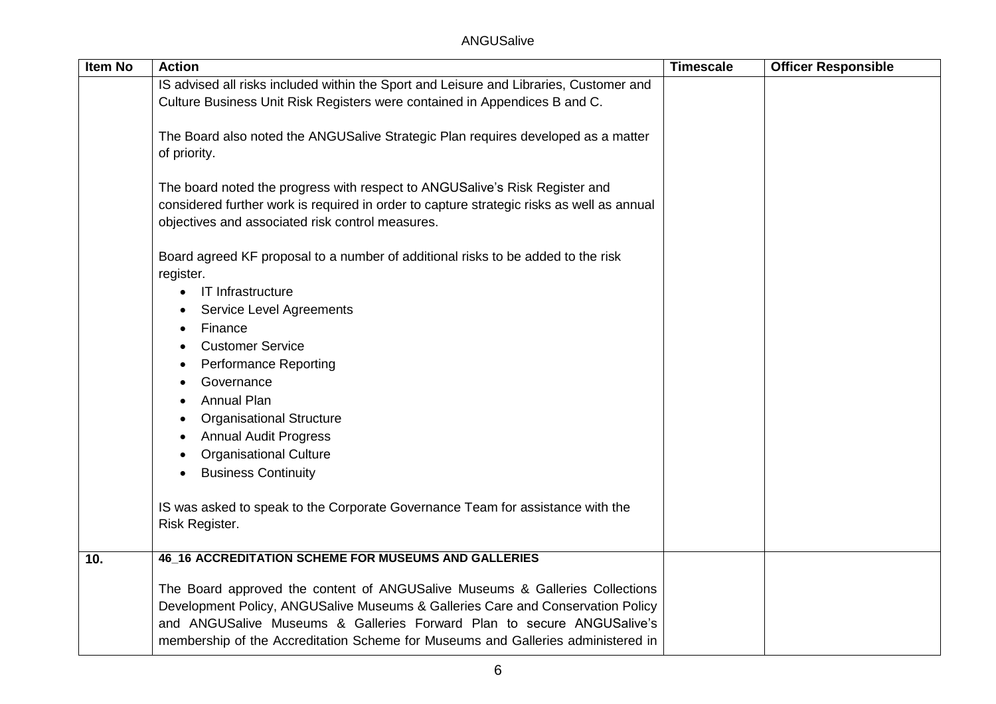| Item No | <b>Action</b>                                                                                                                                                                                                                                                                                                                 | <b>Timescale</b> | <b>Officer Responsible</b> |
|---------|-------------------------------------------------------------------------------------------------------------------------------------------------------------------------------------------------------------------------------------------------------------------------------------------------------------------------------|------------------|----------------------------|
|         | IS advised all risks included within the Sport and Leisure and Libraries, Customer and                                                                                                                                                                                                                                        |                  |                            |
|         | Culture Business Unit Risk Registers were contained in Appendices B and C.                                                                                                                                                                                                                                                    |                  |                            |
|         |                                                                                                                                                                                                                                                                                                                               |                  |                            |
|         | The Board also noted the ANGUSalive Strategic Plan requires developed as a matter                                                                                                                                                                                                                                             |                  |                            |
|         | of priority.                                                                                                                                                                                                                                                                                                                  |                  |                            |
|         | The board noted the progress with respect to ANGUSalive's Risk Register and                                                                                                                                                                                                                                                   |                  |                            |
|         | considered further work is required in order to capture strategic risks as well as annual                                                                                                                                                                                                                                     |                  |                            |
|         | objectives and associated risk control measures.                                                                                                                                                                                                                                                                              |                  |                            |
|         |                                                                                                                                                                                                                                                                                                                               |                  |                            |
|         | Board agreed KF proposal to a number of additional risks to be added to the risk<br>register.                                                                                                                                                                                                                                 |                  |                            |
|         | IT Infrastructure<br>$\bullet$                                                                                                                                                                                                                                                                                                |                  |                            |
|         | <b>Service Level Agreements</b>                                                                                                                                                                                                                                                                                               |                  |                            |
|         | Finance<br>$\bullet$                                                                                                                                                                                                                                                                                                          |                  |                            |
|         | <b>Customer Service</b>                                                                                                                                                                                                                                                                                                       |                  |                            |
|         | <b>Performance Reporting</b><br>$\bullet$                                                                                                                                                                                                                                                                                     |                  |                            |
|         | Governance                                                                                                                                                                                                                                                                                                                    |                  |                            |
|         | <b>Annual Plan</b>                                                                                                                                                                                                                                                                                                            |                  |                            |
|         | <b>Organisational Structure</b>                                                                                                                                                                                                                                                                                               |                  |                            |
|         | <b>Annual Audit Progress</b><br>$\bullet$                                                                                                                                                                                                                                                                                     |                  |                            |
|         | <b>Organisational Culture</b>                                                                                                                                                                                                                                                                                                 |                  |                            |
|         | <b>Business Continuity</b>                                                                                                                                                                                                                                                                                                    |                  |                            |
|         | IS was asked to speak to the Corporate Governance Team for assistance with the                                                                                                                                                                                                                                                |                  |                            |
|         | Risk Register.                                                                                                                                                                                                                                                                                                                |                  |                            |
| 10.     | <b>46_16 ACCREDITATION SCHEME FOR MUSEUMS AND GALLERIES</b>                                                                                                                                                                                                                                                                   |                  |                            |
|         | The Board approved the content of ANGUSalive Museums & Galleries Collections<br>Development Policy, ANGUSalive Museums & Galleries Care and Conservation Policy<br>and ANGUSalive Museums & Galleries Forward Plan to secure ANGUSalive's<br>membership of the Accreditation Scheme for Museums and Galleries administered in |                  |                            |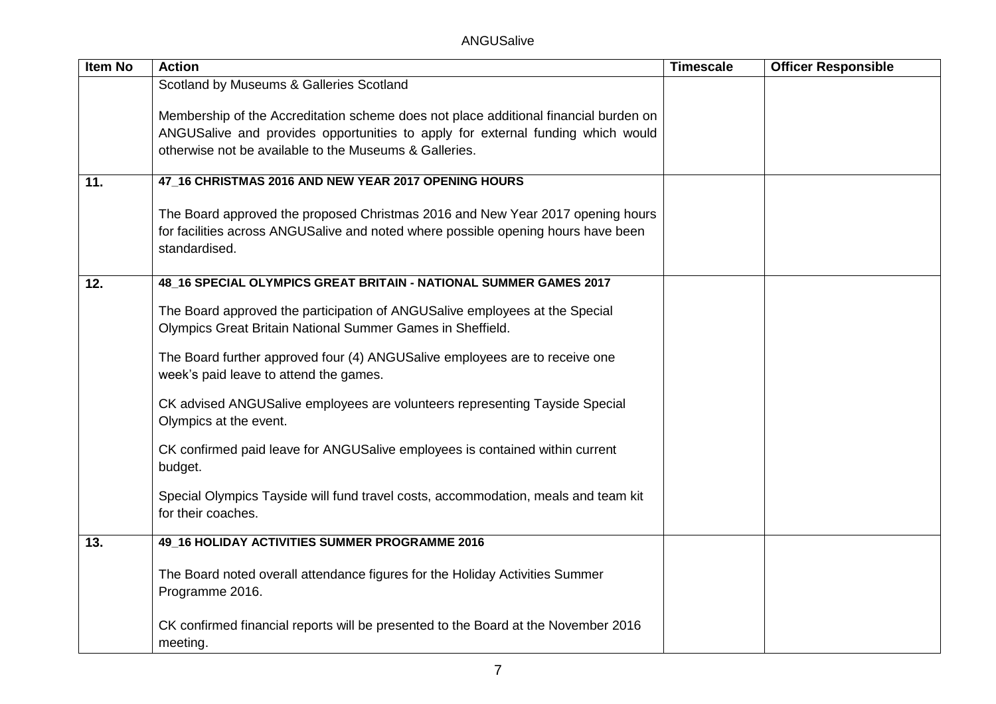| <b>Item No</b> | <b>Action</b>                                                                                                                             | <b>Timescale</b> | <b>Officer Responsible</b> |
|----------------|-------------------------------------------------------------------------------------------------------------------------------------------|------------------|----------------------------|
|                | Scotland by Museums & Galleries Scotland                                                                                                  |                  |                            |
|                |                                                                                                                                           |                  |                            |
|                | Membership of the Accreditation scheme does not place additional financial burden on                                                      |                  |                            |
|                | ANGUSalive and provides opportunities to apply for external funding which would                                                           |                  |                            |
|                | otherwise not be available to the Museums & Galleries.                                                                                    |                  |                            |
| 11.            | 47_16 CHRISTMAS 2016 AND NEW YEAR 2017 OPENING HOURS                                                                                      |                  |                            |
|                | The Board approved the proposed Christmas 2016 and New Year 2017 opening hours                                                            |                  |                            |
|                | for facilities across ANGUSalive and noted where possible opening hours have been<br>standardised.                                        |                  |                            |
| 12.            | 48_16 SPECIAL OLYMPICS GREAT BRITAIN - NATIONAL SUMMER GAMES 2017                                                                         |                  |                            |
|                | The Board approved the participation of ANGUSalive employees at the Special<br>Olympics Great Britain National Summer Games in Sheffield. |                  |                            |
|                | The Board further approved four (4) ANGUSalive employees are to receive one<br>week's paid leave to attend the games.                     |                  |                            |
|                | CK advised ANGUSalive employees are volunteers representing Tayside Special<br>Olympics at the event.                                     |                  |                            |
|                | CK confirmed paid leave for ANGUSalive employees is contained within current<br>budget.                                                   |                  |                            |
|                | Special Olympics Tayside will fund travel costs, accommodation, meals and team kit<br>for their coaches.                                  |                  |                            |
| 13.            | 49_16 HOLIDAY ACTIVITIES SUMMER PROGRAMME 2016                                                                                            |                  |                            |
|                | The Board noted overall attendance figures for the Holiday Activities Summer<br>Programme 2016.                                           |                  |                            |
|                | CK confirmed financial reports will be presented to the Board at the November 2016<br>meeting.                                            |                  |                            |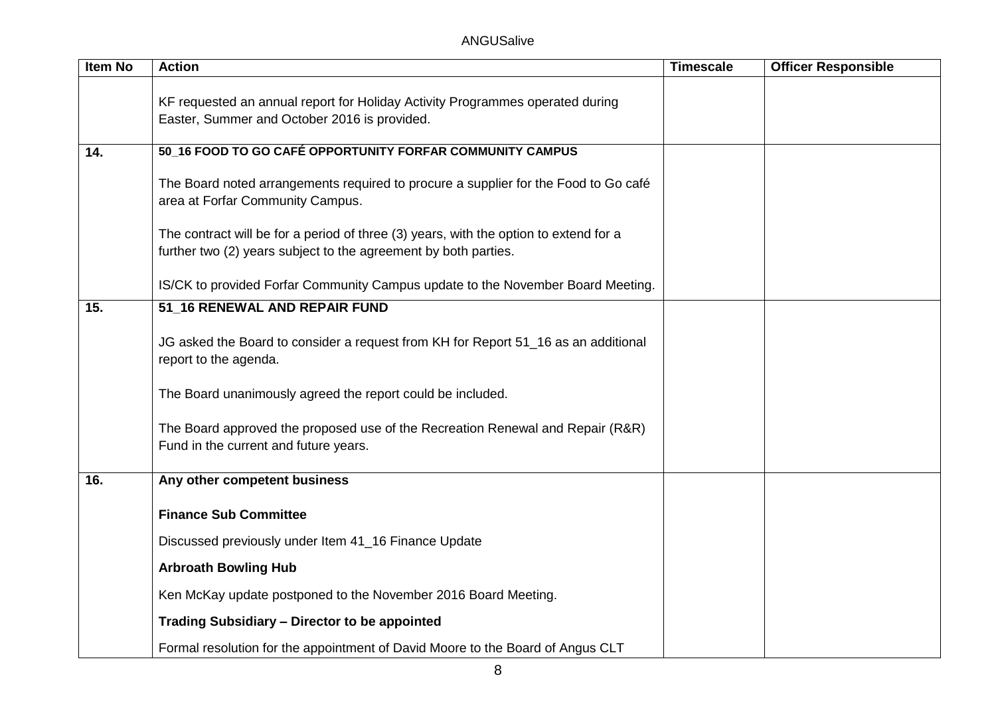| Item No | <b>Action</b>                                                                                                                                            | <b>Timescale</b> | <b>Officer Responsible</b> |
|---------|----------------------------------------------------------------------------------------------------------------------------------------------------------|------------------|----------------------------|
|         |                                                                                                                                                          |                  |                            |
|         | KF requested an annual report for Holiday Activity Programmes operated during<br>Easter, Summer and October 2016 is provided.                            |                  |                            |
|         |                                                                                                                                                          |                  |                            |
| 14.     | 50_16 FOOD TO GO CAFÉ OPPORTUNITY FORFAR COMMUNITY CAMPUS                                                                                                |                  |                            |
|         | The Board noted arrangements required to procure a supplier for the Food to Go café<br>area at Forfar Community Campus.                                  |                  |                            |
|         | The contract will be for a period of three (3) years, with the option to extend for a<br>further two (2) years subject to the agreement by both parties. |                  |                            |
|         | IS/CK to provided Forfar Community Campus update to the November Board Meeting.                                                                          |                  |                            |
| 15.     | 51_16 RENEWAL AND REPAIR FUND                                                                                                                            |                  |                            |
|         | JG asked the Board to consider a request from KH for Report 51_16 as an additional<br>report to the agenda.                                              |                  |                            |
|         | The Board unanimously agreed the report could be included.                                                                                               |                  |                            |
|         | The Board approved the proposed use of the Recreation Renewal and Repair (R&R)<br>Fund in the current and future years.                                  |                  |                            |
| 16.     | Any other competent business                                                                                                                             |                  |                            |
|         | <b>Finance Sub Committee</b>                                                                                                                             |                  |                            |
|         | Discussed previously under Item 41_16 Finance Update                                                                                                     |                  |                            |
|         |                                                                                                                                                          |                  |                            |
|         | <b>Arbroath Bowling Hub</b>                                                                                                                              |                  |                            |
|         | Ken McKay update postponed to the November 2016 Board Meeting.                                                                                           |                  |                            |
|         | Trading Subsidiary - Director to be appointed                                                                                                            |                  |                            |
|         | Formal resolution for the appointment of David Moore to the Board of Angus CLT                                                                           |                  |                            |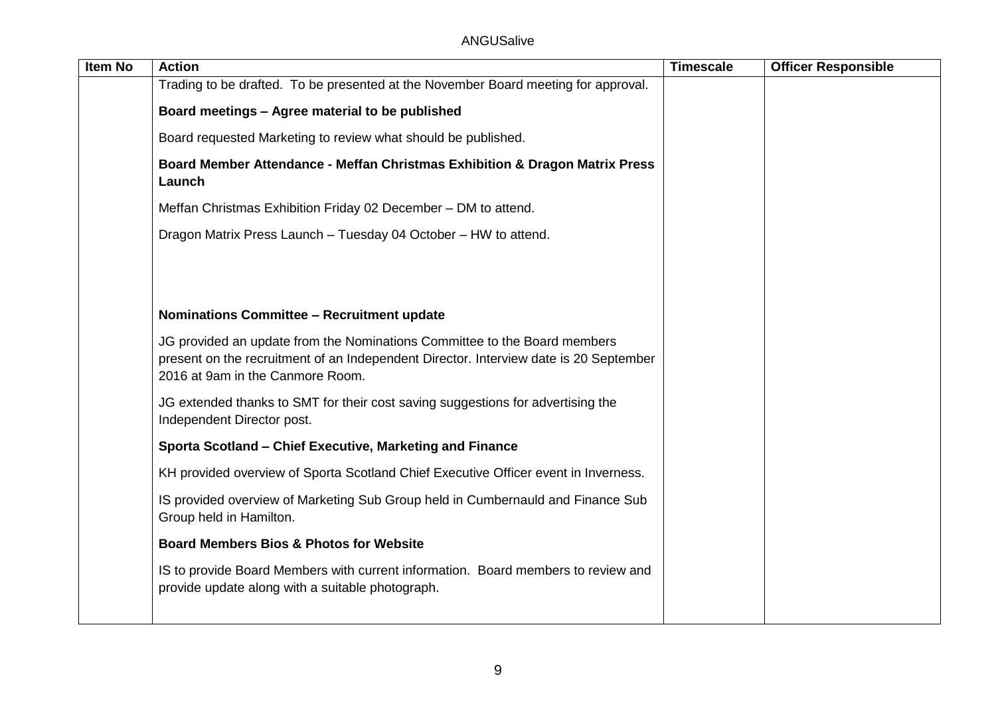| <b>Item No</b> | <b>Action</b>                                                                                                                                                                                          | <b>Timescale</b> | <b>Officer Responsible</b> |
|----------------|--------------------------------------------------------------------------------------------------------------------------------------------------------------------------------------------------------|------------------|----------------------------|
|                | Trading to be drafted. To be presented at the November Board meeting for approval.                                                                                                                     |                  |                            |
|                | Board meetings - Agree material to be published                                                                                                                                                        |                  |                            |
|                | Board requested Marketing to review what should be published.                                                                                                                                          |                  |                            |
|                | Board Member Attendance - Meffan Christmas Exhibition & Dragon Matrix Press<br>Launch                                                                                                                  |                  |                            |
|                | Meffan Christmas Exhibition Friday 02 December - DM to attend.                                                                                                                                         |                  |                            |
|                | Dragon Matrix Press Launch - Tuesday 04 October - HW to attend.                                                                                                                                        |                  |                            |
|                |                                                                                                                                                                                                        |                  |                            |
|                |                                                                                                                                                                                                        |                  |                            |
|                | Nominations Committee - Recruitment update                                                                                                                                                             |                  |                            |
|                | JG provided an update from the Nominations Committee to the Board members<br>present on the recruitment of an Independent Director. Interview date is 20 September<br>2016 at 9am in the Canmore Room. |                  |                            |
|                | JG extended thanks to SMT for their cost saving suggestions for advertising the<br>Independent Director post.                                                                                          |                  |                            |
|                | Sporta Scotland - Chief Executive, Marketing and Finance                                                                                                                                               |                  |                            |
|                | KH provided overview of Sporta Scotland Chief Executive Officer event in Inverness.                                                                                                                    |                  |                            |
|                | IS provided overview of Marketing Sub Group held in Cumbernauld and Finance Sub<br>Group held in Hamilton.                                                                                             |                  |                            |
|                | <b>Board Members Bios &amp; Photos for Website</b>                                                                                                                                                     |                  |                            |
|                | IS to provide Board Members with current information. Board members to review and<br>provide update along with a suitable photograph.                                                                  |                  |                            |
|                |                                                                                                                                                                                                        |                  |                            |